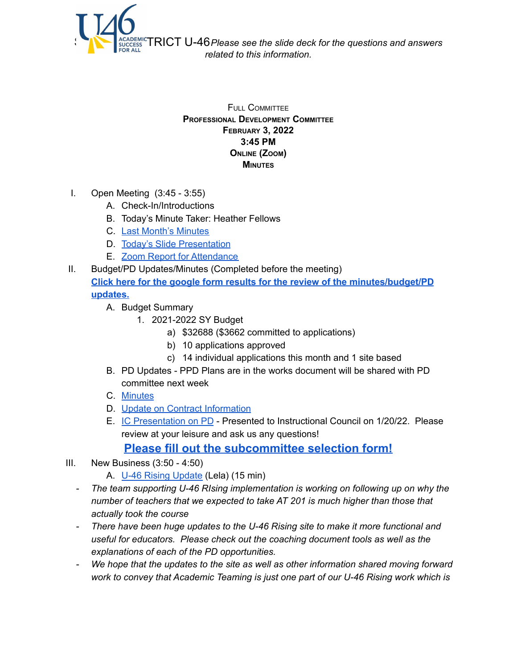

FULL COMMITTEE **PROFESSIONAL DEVELOPMENT COMMITTEE FEBRUARY 3, 2022 3:45 PM ONLINE (ZOOM) MINUTES**

- I. Open Meeting (3:45 3:55)
	- A. Check-In/Introductions
	- B. Today's Minute Taker: Heather Fellows
	- C. Last Month's [Minutes](https://www.u-46.org/site/handlers/filedownload.ashx?moduleinstanceid=40057&dataid=67667&FileName=1-6-22%20Minutes%20PD%20FC.pdf)
	- D. Today's Slide [Presentation](https://docs.google.com/presentation/d/1HH9w9cTwFCDhRueywtz__VH8SPdg4m4g-xNlL4qOjKQ/edit?usp=sharing)
	- E. Zoom Report for [Attendance](https://docs.google.com/spreadsheets/d/1k8bRlBe2ErB8iVL3LpM4gnPjmmMY_5QI/edit?usp=sharing&ouid=114155932067581146592&rtpof=true&sd=true)
- II. Budget/PD Updates/Minutes (Completed before the meeting) **Click here for the google form results for the review of the [minutes/budget/PD](https://docs.google.com/forms/d/1Cdq8LLeRH0LIgJLHO4TIXytfKQ9qEG2yUDbPmTEDP6k/viewanalytics) [updates.](https://docs.google.com/forms/d/1Cdq8LLeRH0LIgJLHO4TIXytfKQ9qEG2yUDbPmTEDP6k/viewanalytics)**
	- A. Budget Summary
		- 1. 2021-2022 SY Budget
			- a) \$32688 (\$3662 committed to applications)
			- b) 10 applications approved
			- c) 14 individual applications this month and 1 site based
	- B. PD Updates PPD Plans are in the works document will be shared with PD committee next week
	- C. [Minutes](https://www.u-46.org/site/handlers/filedownload.ashx?moduleinstanceid=40057&dataid=67667&FileName=1-6-22%20Minutes%20PD%20FC.pdf)
	- D. Update on Contract [Information](https://drive.google.com/file/d/1blA9eFCVOINbkwVPVDHpLjaInBmXFVlV/view?usp=sharing)
	- E. IC [Presentation](https://docs.google.com/presentation/d/1h7J--CiobvfPvjB9F5L-p9Q-p2UNJmzjA6NpT8YY4Ug/edit?usp=sharing) on PD Presented to Instructional Council on 1/20/22. Please review at your leisure and ask us any questions!

**Please fill out the [subcommittee](https://docs.google.com/forms/d/e/1FAIpQLSdRFciki-5ADRQLb2Dxv_sFlrWT_liuGHe-Tz5ZifWFP-U5bg/viewform?usp=sf_link) selection form!**

- III. New Business (3:50 4:50)
	- A. U-46 Rising [Update](https://www.u-46.org/domain/11581) (Lela) (15 min)
	- *- The team supporting U-46 RIsing implementation is working on following up on why the number of teachers that we expected to take AT 201 is much higher than those that actually took the course*
	- *- There have been huge updates to the U-46 Rising site to make it more functional and useful for educators. Please check out the coaching document tools as well as the explanations of each of the PD opportunities.*
	- *- We hope that the updates to the site as well as other information shared moving forward work to convey that Academic Teaming is just one part of our U-46 Rising work which is*